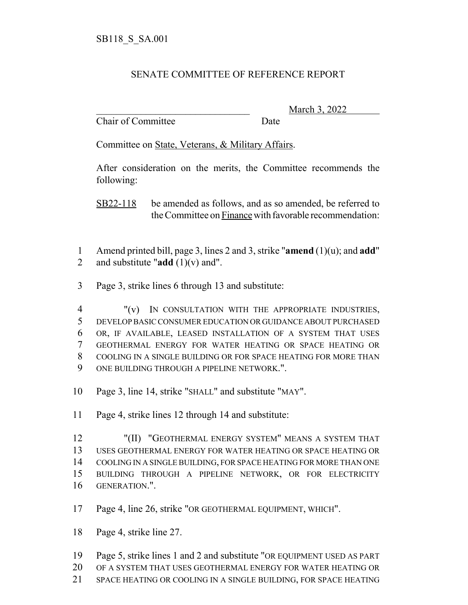## SENATE COMMITTEE OF REFERENCE REPORT

Chair of Committee Date

\_\_\_\_\_\_\_\_\_\_\_\_\_\_\_\_\_\_\_\_\_\_\_\_\_\_\_\_\_\_\_ March 3, 2022

Committee on State, Veterans, & Military Affairs.

After consideration on the merits, the Committee recommends the following:

SB22-118 be amended as follows, and as so amended, be referred to the Committee on Finance with favorable recommendation:

- Amend printed bill, page 3, lines 2 and 3, strike "**amend** (1)(u); and **add**" and substitute "**add** (1)(v) and".
- Page 3, strike lines 6 through 13 and substitute:

 "(v) IN CONSULTATION WITH THE APPROPRIATE INDUSTRIES, DEVELOP BASIC CONSUMER EDUCATION OR GUIDANCE ABOUT PURCHASED OR, IF AVAILABLE, LEASED INSTALLATION OF A SYSTEM THAT USES GEOTHERMAL ENERGY FOR WATER HEATING OR SPACE HEATING OR COOLING IN A SINGLE BUILDING OR FOR SPACE HEATING FOR MORE THAN ONE BUILDING THROUGH A PIPELINE NETWORK.".

- Page 3, line 14, strike "SHALL" and substitute "MAY".
- Page 4, strike lines 12 through 14 and substitute:

12 "(II) "GEOTHERMAL ENERGY SYSTEM" MEANS A SYSTEM THAT USES GEOTHERMAL ENERGY FOR WATER HEATING OR SPACE HEATING OR COOLING IN A SINGLE BUILDING, FOR SPACE HEATING FOR MORE THAN ONE BUILDING THROUGH A PIPELINE NETWORK, OR FOR ELECTRICITY GENERATION.".

Page 4, line 26, strike "OR GEOTHERMAL EQUIPMENT, WHICH".

Page 4, strike line 27.

Page 5, strike lines 1 and 2 and substitute "OR EQUIPMENT USED AS PART

OF A SYSTEM THAT USES GEOTHERMAL ENERGY FOR WATER HEATING OR

SPACE HEATING OR COOLING IN A SINGLE BUILDING, FOR SPACE HEATING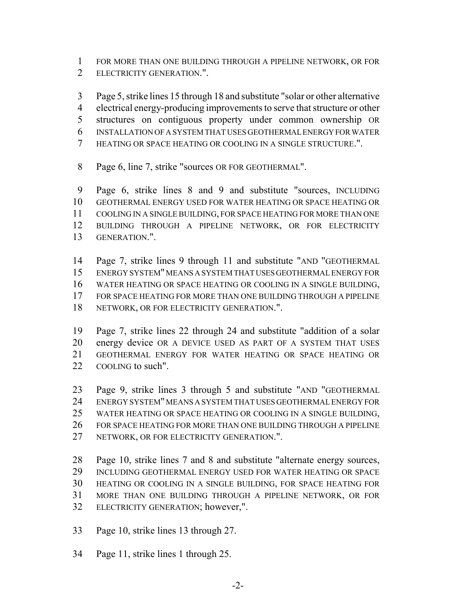FOR MORE THAN ONE BUILDING THROUGH A PIPELINE NETWORK, OR FOR ELECTRICITY GENERATION.".

 Page 5, strike lines 15 through 18 and substitute "solar or other alternative electrical energy-producing improvements to serve that structure or other structures on contiguous property under common ownership OR INSTALLATION OF A SYSTEM THAT USES GEOTHERMAL ENERGY FOR WATER HEATING OR SPACE HEATING OR COOLING IN A SINGLE STRUCTURE.".

Page 6, line 7, strike "sources OR FOR GEOTHERMAL".

 Page 6, strike lines 8 and 9 and substitute "sources, INCLUDING GEOTHERMAL ENERGY USED FOR WATER HEATING OR SPACE HEATING OR COOLING IN A SINGLE BUILDING, FOR SPACE HEATING FOR MORE THAN ONE BUILDING THROUGH A PIPELINE NETWORK, OR FOR ELECTRICITY GENERATION.".

 Page 7, strike lines 9 through 11 and substitute "AND "GEOTHERMAL ENERGY SYSTEM" MEANS A SYSTEM THAT USES GEOTHERMAL ENERGY FOR WATER HEATING OR SPACE HEATING OR COOLING IN A SINGLE BUILDING, FOR SPACE HEATING FOR MORE THAN ONE BUILDING THROUGH A PIPELINE NETWORK, OR FOR ELECTRICITY GENERATION.".

 Page 7, strike lines 22 through 24 and substitute "addition of a solar energy device OR A DEVICE USED AS PART OF A SYSTEM THAT USES GEOTHERMAL ENERGY FOR WATER HEATING OR SPACE HEATING OR 22 COOLING to such".

 Page 9, strike lines 3 through 5 and substitute "AND "GEOTHERMAL ENERGY SYSTEM" MEANS A SYSTEM THAT USES GEOTHERMAL ENERGY FOR WATER HEATING OR SPACE HEATING OR COOLING IN A SINGLE BUILDING, FOR SPACE HEATING FOR MORE THAN ONE BUILDING THROUGH A PIPELINE NETWORK, OR FOR ELECTRICITY GENERATION.".

 Page 10, strike lines 7 and 8 and substitute "alternate energy sources, INCLUDING GEOTHERMAL ENERGY USED FOR WATER HEATING OR SPACE HEATING OR COOLING IN A SINGLE BUILDING, FOR SPACE HEATING FOR MORE THAN ONE BUILDING THROUGH A PIPELINE NETWORK, OR FOR ELECTRICITY GENERATION; however,".

Page 10, strike lines 13 through 27.

Page 11, strike lines 1 through 25.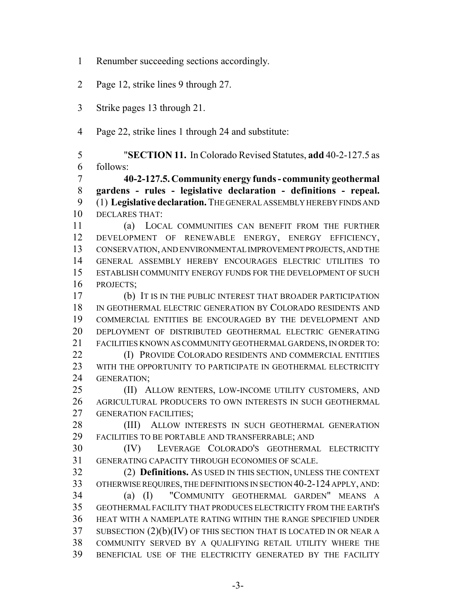- Renumber succeeding sections accordingly.
- Page 12, strike lines 9 through 27.
- Strike pages 13 through 21.
- Page 22, strike lines 1 through 24 and substitute:

 "**SECTION 11.** In Colorado Revised Statutes, **add** 40-2-127.5 as follows:

 **40-2-127.5. Community energy funds - community geothermal gardens - rules - legislative declaration - definitions - repeal.** (1) **Legislative declaration.** THE GENERAL ASSEMBLY HEREBY FINDS AND DECLARES THAT:

 (a) LOCAL COMMUNITIES CAN BENEFIT FROM THE FURTHER DEVELOPMENT OF RENEWABLE ENERGY, ENERGY EFFICIENCY, CONSERVATION, AND ENVIRONMENTAL IMPROVEMENT PROJECTS, AND THE GENERAL ASSEMBLY HEREBY ENCOURAGES ELECTRIC UTILITIES TO ESTABLISH COMMUNITY ENERGY FUNDS FOR THE DEVELOPMENT OF SUCH PROJECTS;

 (b) IT IS IN THE PUBLIC INTEREST THAT BROADER PARTICIPATION IN GEOTHERMAL ELECTRIC GENERATION BY COLORADO RESIDENTS AND COMMERCIAL ENTITIES BE ENCOURAGED BY THE DEVELOPMENT AND DEPLOYMENT OF DISTRIBUTED GEOTHERMAL ELECTRIC GENERATING FACILITIES KNOWN AS COMMUNITY GEOTHERMAL GARDENS, IN ORDER TO:

**(I) PROVIDE COLORADO RESIDENTS AND COMMERCIAL ENTITIES** 23 WITH THE OPPORTUNITY TO PARTICIPATE IN GEOTHERMAL ELECTRICITY GENERATION;

25 (II) ALLOW RENTERS, LOW-INCOME UTILITY CUSTOMERS, AND AGRICULTURAL PRODUCERS TO OWN INTERESTS IN SUCH GEOTHERMAL 27 GENERATION FACILITIES:

28 (III) ALLOW INTERESTS IN SUCH GEOTHERMAL GENERATION FACILITIES TO BE PORTABLE AND TRANSFERRABLE; AND

 (IV) LEVERAGE COLORADO'S GEOTHERMAL ELECTRICITY GENERATING CAPACITY THROUGH ECONOMIES OF SCALE.

 (2) **Definitions.** AS USED IN THIS SECTION, UNLESS THE CONTEXT OTHERWISE REQUIRES, THE DEFINITIONS IN SECTION 40-2-124 APPLY, AND: (a) (I) "COMMUNITY GEOTHERMAL GARDEN" MEANS A GEOTHERMAL FACILITY THAT PRODUCES ELECTRICITY FROM THE EARTH'S HEAT WITH A NAMEPLATE RATING WITHIN THE RANGE SPECIFIED UNDER SUBSECTION (2)(b)(IV) OF THIS SECTION THAT IS LOCATED IN OR NEAR A COMMUNITY SERVED BY A QUALIFYING RETAIL UTILITY WHERE THE BENEFICIAL USE OF THE ELECTRICITY GENERATED BY THE FACILITY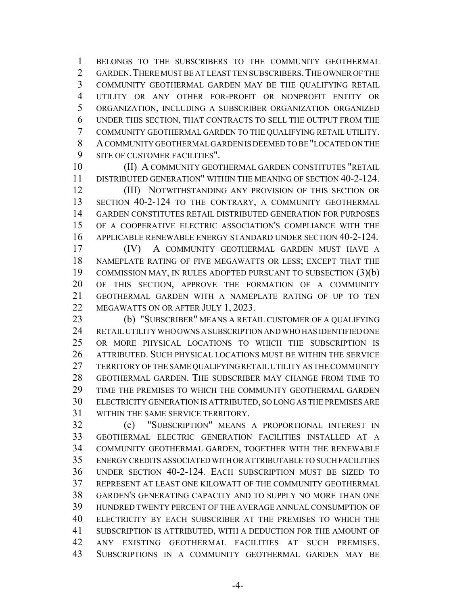BELONGS TO THE SUBSCRIBERS TO THE COMMUNITY GEOTHERMAL 2 GARDEN. THERE MUST BE AT LEAST TEN SUBSCRIBERS. THE OWNER OF THE COMMUNITY GEOTHERMAL GARDEN MAY BE THE QUALIFYING RETAIL UTILITY OR ANY OTHER FOR-PROFIT OR NONPROFIT ENTITY OR ORGANIZATION, INCLUDING A SUBSCRIBER ORGANIZATION ORGANIZED UNDER THIS SECTION, THAT CONTRACTS TO SELL THE OUTPUT FROM THE COMMUNITY GEOTHERMAL GARDEN TO THE QUALIFYING RETAIL UTILITY. A COMMUNITY GEOTHERMAL GARDEN IS DEEMED TO BE "LOCATED ON THE SITE OF CUSTOMER FACILITIES".

 (II) A COMMUNITY GEOTHERMAL GARDEN CONSTITUTES "RETAIL DISTRIBUTED GENERATION" WITHIN THE MEANING OF SECTION 40-2-124.

 (III) NOTWITHSTANDING ANY PROVISION OF THIS SECTION OR SECTION 40-2-124 TO THE CONTRARY, A COMMUNITY GEOTHERMAL GARDEN CONSTITUTES RETAIL DISTRIBUTED GENERATION FOR PURPOSES OF A COOPERATIVE ELECTRIC ASSOCIATION'S COMPLIANCE WITH THE APPLICABLE RENEWABLE ENERGY STANDARD UNDER SECTION 40-2-124.

 (IV) A COMMUNITY GEOTHERMAL GARDEN MUST HAVE A NAMEPLATE RATING OF FIVE MEGAWATTS OR LESS; EXCEPT THAT THE COMMISSION MAY, IN RULES ADOPTED PURSUANT TO SUBSECTION (3)(b) OF THIS SECTION, APPROVE THE FORMATION OF A COMMUNITY GEOTHERMAL GARDEN WITH A NAMEPLATE RATING OF UP TO TEN 22 MEGAWATTS ON OR AFTER JULY 1, 2023.

 (b) "SUBSCRIBER" MEANS A RETAIL CUSTOMER OF A QUALIFYING RETAIL UTILITY WHO OWNS A SUBSCRIPTION AND WHO HAS IDENTIFIED ONE OR MORE PHYSICAL LOCATIONS TO WHICH THE SUBSCRIPTION IS ATTRIBUTED. SUCH PHYSICAL LOCATIONS MUST BE WITHIN THE SERVICE TERRITORY OF THE SAME QUALIFYING RETAIL UTILITY AS THE COMMUNITY GEOTHERMAL GARDEN. THE SUBSCRIBER MAY CHANGE FROM TIME TO TIME THE PREMISES TO WHICH THE COMMUNITY GEOTHERMAL GARDEN ELECTRICITY GENERATION IS ATTRIBUTED, SO LONG AS THE PREMISES ARE WITHIN THE SAME SERVICE TERRITORY.

 (c) "SUBSCRIPTION" MEANS A PROPORTIONAL INTEREST IN GEOTHERMAL ELECTRIC GENERATION FACILITIES INSTALLED AT A COMMUNITY GEOTHERMAL GARDEN, TOGETHER WITH THE RENEWABLE ENERGY CREDITS ASSOCIATED WITH OR ATTRIBUTABLE TO SUCH FACILITIES UNDER SECTION 40-2-124. EACH SUBSCRIPTION MUST BE SIZED TO REPRESENT AT LEAST ONE KILOWATT OF THE COMMUNITY GEOTHERMAL GARDEN'S GENERATING CAPACITY AND TO SUPPLY NO MORE THAN ONE HUNDRED TWENTY PERCENT OF THE AVERAGE ANNUAL CONSUMPTION OF ELECTRICITY BY EACH SUBSCRIBER AT THE PREMISES TO WHICH THE SUBSCRIPTION IS ATTRIBUTED, WITH A DEDUCTION FOR THE AMOUNT OF ANY EXISTING GEOTHERMAL FACILITIES AT SUCH PREMISES. SUBSCRIPTIONS IN A COMMUNITY GEOTHERMAL GARDEN MAY BE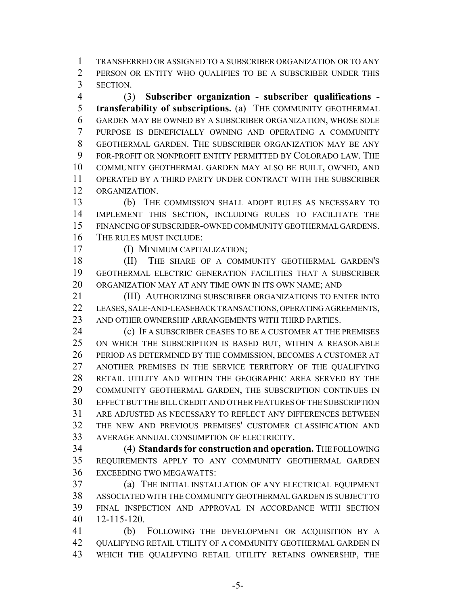TRANSFERRED OR ASSIGNED TO A SUBSCRIBER ORGANIZATION OR TO ANY PERSON OR ENTITY WHO QUALIFIES TO BE A SUBSCRIBER UNDER THIS SECTION.

 (3) **Subscriber organization - subscriber qualifications - transferability of subscriptions.** (a) THE COMMUNITY GEOTHERMAL GARDEN MAY BE OWNED BY A SUBSCRIBER ORGANIZATION, WHOSE SOLE PURPOSE IS BENEFICIALLY OWNING AND OPERATING A COMMUNITY GEOTHERMAL GARDEN. THE SUBSCRIBER ORGANIZATION MAY BE ANY FOR-PROFIT OR NONPROFIT ENTITY PERMITTED BY COLORADO LAW. THE COMMUNITY GEOTHERMAL GARDEN MAY ALSO BE BUILT, OWNED, AND OPERATED BY A THIRD PARTY UNDER CONTRACT WITH THE SUBSCRIBER ORGANIZATION.

 (b) THE COMMISSION SHALL ADOPT RULES AS NECESSARY TO IMPLEMENT THIS SECTION, INCLUDING RULES TO FACILITATE THE FINANCING OF SUBSCRIBER-OWNED COMMUNITY GEOTHERMAL GARDENS. THE RULES MUST INCLUDE:

(I) MINIMUM CAPITALIZATION;

18 (II) THE SHARE OF A COMMUNITY GEOTHERMAL GARDEN'S GEOTHERMAL ELECTRIC GENERATION FACILITIES THAT A SUBSCRIBER ORGANIZATION MAY AT ANY TIME OWN IN ITS OWN NAME; AND

 (III) AUTHORIZING SUBSCRIBER ORGANIZATIONS TO ENTER INTO LEASES, SALE-AND-LEASEBACK TRANSACTIONS, OPERATING AGREEMENTS, AND OTHER OWNERSHIP ARRANGEMENTS WITH THIRD PARTIES.

 (c) IF A SUBSCRIBER CEASES TO BE A CUSTOMER AT THE PREMISES ON WHICH THE SUBSCRIPTION IS BASED BUT, WITHIN A REASONABLE PERIOD AS DETERMINED BY THE COMMISSION, BECOMES A CUSTOMER AT ANOTHER PREMISES IN THE SERVICE TERRITORY OF THE QUALIFYING RETAIL UTILITY AND WITHIN THE GEOGRAPHIC AREA SERVED BY THE COMMUNITY GEOTHERMAL GARDEN, THE SUBSCRIPTION CONTINUES IN EFFECT BUT THE BILL CREDIT AND OTHER FEATURES OF THE SUBSCRIPTION ARE ADJUSTED AS NECESSARY TO REFLECT ANY DIFFERENCES BETWEEN THE NEW AND PREVIOUS PREMISES' CUSTOMER CLASSIFICATION AND AVERAGE ANNUAL CONSUMPTION OF ELECTRICITY.

 (4) **Standards for construction and operation.** THE FOLLOWING REQUIREMENTS APPLY TO ANY COMMUNITY GEOTHERMAL GARDEN EXCEEDING TWO MEGAWATTS:

 (a) THE INITIAL INSTALLATION OF ANY ELECTRICAL EQUIPMENT ASSOCIATED WITH THE COMMUNITY GEOTHERMAL GARDEN IS SUBJECT TO FINAL INSPECTION AND APPROVAL IN ACCORDANCE WITH SECTION 12-115-120.

 (b) FOLLOWING THE DEVELOPMENT OR ACQUISITION BY A QUALIFYING RETAIL UTILITY OF A COMMUNITY GEOTHERMAL GARDEN IN WHICH THE QUALIFYING RETAIL UTILITY RETAINS OWNERSHIP, THE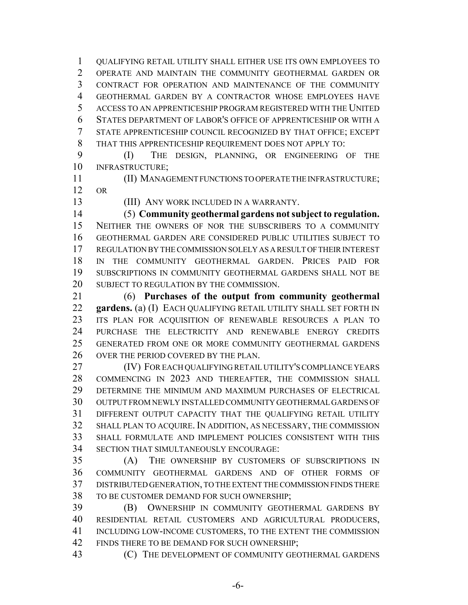QUALIFYING RETAIL UTILITY SHALL EITHER USE ITS OWN EMPLOYEES TO OPERATE AND MAINTAIN THE COMMUNITY GEOTHERMAL GARDEN OR CONTRACT FOR OPERATION AND MAINTENANCE OF THE COMMUNITY GEOTHERMAL GARDEN BY A CONTRACTOR WHOSE EMPLOYEES HAVE ACCESS TO AN APPRENTICESHIP PROGRAM REGISTERED WITH THE UNITED STATES DEPARTMENT OF LABOR'S OFFICE OF APPRENTICESHIP OR WITH A STATE APPRENTICESHIP COUNCIL RECOGNIZED BY THAT OFFICE; EXCEPT THAT THIS APPRENTICESHIP REQUIREMENT DOES NOT APPLY TO:

 (I) THE DESIGN, PLANNING, OR ENGINEERING OF THE INFRASTRUCTURE;

 (II) MANAGEMENT FUNCTIONS TO OPERATE THE INFRASTRUCTURE; OR

(III) ANY WORK INCLUDED IN A WARRANTY.

 (5) **Community geothermal gardens not subject to regulation.** NEITHER THE OWNERS OF NOR THE SUBSCRIBERS TO A COMMUNITY GEOTHERMAL GARDEN ARE CONSIDERED PUBLIC UTILITIES SUBJECT TO REGULATION BY THE COMMISSION SOLELY AS A RESULT OF THEIR INTEREST IN THE COMMUNITY GEOTHERMAL GARDEN. PRICES PAID FOR SUBSCRIPTIONS IN COMMUNITY GEOTHERMAL GARDENS SHALL NOT BE 20 SUBJECT TO REGULATION BY THE COMMISSION.

 (6) **Purchases of the output from community geothermal gardens.** (a) (I) EACH QUALIFYING RETAIL UTILITY SHALL SET FORTH IN ITS PLAN FOR ACQUISITION OF RENEWABLE RESOURCES A PLAN TO PURCHASE THE ELECTRICITY AND RENEWABLE ENERGY CREDITS GENERATED FROM ONE OR MORE COMMUNITY GEOTHERMAL GARDENS 26 OVER THE PERIOD COVERED BY THE PLAN.

 (IV) FOR EACH QUALIFYING RETAIL UTILITY'S COMPLIANCE YEARS COMMENCING IN 2023 AND THEREAFTER, THE COMMISSION SHALL DETERMINE THE MINIMUM AND MAXIMUM PURCHASES OF ELECTRICAL OUTPUT FROM NEWLY INSTALLED COMMUNITY GEOTHERMAL GARDENS OF DIFFERENT OUTPUT CAPACITY THAT THE QUALIFYING RETAIL UTILITY SHALL PLAN TO ACQUIRE. IN ADDITION, AS NECESSARY, THE COMMISSION SHALL FORMULATE AND IMPLEMENT POLICIES CONSISTENT WITH THIS SECTION THAT SIMULTANEOUSLY ENCOURAGE:

 (A) THE OWNERSHIP BY CUSTOMERS OF SUBSCRIPTIONS IN COMMUNITY GEOTHERMAL GARDENS AND OF OTHER FORMS OF DISTRIBUTED GENERATION, TO THE EXTENT THE COMMISSION FINDS THERE TO BE CUSTOMER DEMAND FOR SUCH OWNERSHIP;

 (B) OWNERSHIP IN COMMUNITY GEOTHERMAL GARDENS BY RESIDENTIAL RETAIL CUSTOMERS AND AGRICULTURAL PRODUCERS, INCLUDING LOW-INCOME CUSTOMERS, TO THE EXTENT THE COMMISSION 42 FINDS THERE TO BE DEMAND FOR SUCH OWNERSHIP:

(C) THE DEVELOPMENT OF COMMUNITY GEOTHERMAL GARDENS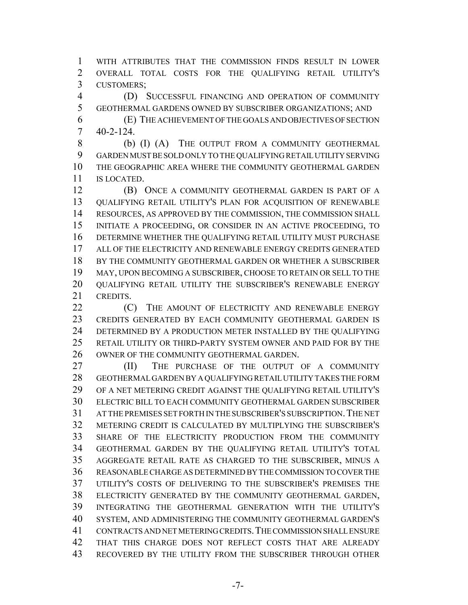WITH ATTRIBUTES THAT THE COMMISSION FINDS RESULT IN LOWER OVERALL TOTAL COSTS FOR THE QUALIFYING RETAIL UTILITY'S CUSTOMERS;

 (D) SUCCESSFUL FINANCING AND OPERATION OF COMMUNITY GEOTHERMAL GARDENS OWNED BY SUBSCRIBER ORGANIZATIONS; AND

 (E) THE ACHIEVEMENT OF THE GOALS AND OBJECTIVES OF SECTION 40-2-124.

8 (b) (I) (A) THE OUTPUT FROM A COMMUNITY GEOTHERMAL GARDEN MUST BE SOLD ONLY TO THE QUALIFYING RETAIL UTILITY SERVING THE GEOGRAPHIC AREA WHERE THE COMMUNITY GEOTHERMAL GARDEN IS LOCATED.

 (B) ONCE A COMMUNITY GEOTHERMAL GARDEN IS PART OF A QUALIFYING RETAIL UTILITY'S PLAN FOR ACQUISITION OF RENEWABLE RESOURCES, AS APPROVED BY THE COMMISSION, THE COMMISSION SHALL INITIATE A PROCEEDING, OR CONSIDER IN AN ACTIVE PROCEEDING, TO DETERMINE WHETHER THE QUALIFYING RETAIL UTILITY MUST PURCHASE ALL OF THE ELECTRICITY AND RENEWABLE ENERGY CREDITS GENERATED BY THE COMMUNITY GEOTHERMAL GARDEN OR WHETHER A SUBSCRIBER MAY, UPON BECOMING A SUBSCRIBER, CHOOSE TO RETAIN OR SELL TO THE QUALIFYING RETAIL UTILITY THE SUBSCRIBER'S RENEWABLE ENERGY CREDITS.

 (C) THE AMOUNT OF ELECTRICITY AND RENEWABLE ENERGY CREDITS GENERATED BY EACH COMMUNITY GEOTHERMAL GARDEN IS DETERMINED BY A PRODUCTION METER INSTALLED BY THE QUALIFYING RETAIL UTILITY OR THIRD-PARTY SYSTEM OWNER AND PAID FOR BY THE OWNER OF THE COMMUNITY GEOTHERMAL GARDEN.

**III)** THE PURCHASE OF THE OUTPUT OF A COMMUNITY GEOTHERMAL GARDEN BY A QUALIFYING RETAIL UTILITY TAKES THE FORM OF A NET METERING CREDIT AGAINST THE QUALIFYING RETAIL UTILITY'S ELECTRIC BILL TO EACH COMMUNITY GEOTHERMAL GARDEN SUBSCRIBER AT THE PREMISES SET FORTH IN THE SUBSCRIBER'S SUBSCRIPTION.THE NET METERING CREDIT IS CALCULATED BY MULTIPLYING THE SUBSCRIBER'S SHARE OF THE ELECTRICITY PRODUCTION FROM THE COMMUNITY GEOTHERMAL GARDEN BY THE QUALIFYING RETAIL UTILITY'S TOTAL AGGREGATE RETAIL RATE AS CHARGED TO THE SUBSCRIBER, MINUS A REASONABLE CHARGE AS DETERMINED BY THE COMMISSION TO COVER THE UTILITY'S COSTS OF DELIVERING TO THE SUBSCRIBER'S PREMISES THE ELECTRICITY GENERATED BY THE COMMUNITY GEOTHERMAL GARDEN, INTEGRATING THE GEOTHERMAL GENERATION WITH THE UTILITY'S SYSTEM, AND ADMINISTERING THE COMMUNITY GEOTHERMAL GARDEN'S CONTRACTS AND NET METERING CREDITS.THE COMMISSION SHALL ENSURE THAT THIS CHARGE DOES NOT REFLECT COSTS THAT ARE ALREADY RECOVERED BY THE UTILITY FROM THE SUBSCRIBER THROUGH OTHER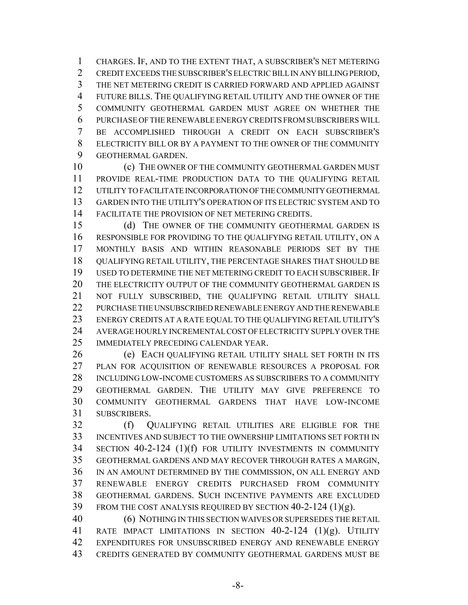CHARGES. IF, AND TO THE EXTENT THAT, A SUBSCRIBER'S NET METERING CREDIT EXCEEDS THE SUBSCRIBER'S ELECTRIC BILL IN ANY BILLING PERIOD, THE NET METERING CREDIT IS CARRIED FORWARD AND APPLIED AGAINST FUTURE BILLS. THE QUALIFYING RETAIL UTILITY AND THE OWNER OF THE COMMUNITY GEOTHERMAL GARDEN MUST AGREE ON WHETHER THE PURCHASE OF THE RENEWABLE ENERGY CREDITS FROM SUBSCRIBERS WILL BE ACCOMPLISHED THROUGH A CREDIT ON EACH SUBSCRIBER'S ELECTRICITY BILL OR BY A PAYMENT TO THE OWNER OF THE COMMUNITY GEOTHERMAL GARDEN.

10 (c) THE OWNER OF THE COMMUNITY GEOTHERMAL GARDEN MUST PROVIDE REAL-TIME PRODUCTION DATA TO THE QUALIFYING RETAIL UTILITY TO FACILITATE INCORPORATION OF THE COMMUNITY GEOTHERMAL GARDEN INTO THE UTILITY'S OPERATION OF ITS ELECTRIC SYSTEM AND TO FACILITATE THE PROVISION OF NET METERING CREDITS.

15 (d) THE OWNER OF THE COMMUNITY GEOTHERMAL GARDEN IS RESPONSIBLE FOR PROVIDING TO THE QUALIFYING RETAIL UTILITY, ON A MONTHLY BASIS AND WITHIN REASONABLE PERIODS SET BY THE QUALIFYING RETAIL UTILITY, THE PERCENTAGE SHARES THAT SHOULD BE USED TO DETERMINE THE NET METERING CREDIT TO EACH SUBSCRIBER. IF THE ELECTRICITY OUTPUT OF THE COMMUNITY GEOTHERMAL GARDEN IS NOT FULLY SUBSCRIBED, THE QUALIFYING RETAIL UTILITY SHALL PURCHASE THE UNSUBSCRIBED RENEWABLE ENERGY AND THE RENEWABLE ENERGY CREDITS AT A RATE EQUAL TO THE QUALIFYING RETAIL UTILITY'S AVERAGE HOURLY INCREMENTAL COST OF ELECTRICITY SUPPLY OVER THE IMMEDIATELY PRECEDING CALENDAR YEAR.

 (e) EACH QUALIFYING RETAIL UTILITY SHALL SET FORTH IN ITS PLAN FOR ACQUISITION OF RENEWABLE RESOURCES A PROPOSAL FOR INCLUDING LOW-INCOME CUSTOMERS AS SUBSCRIBERS TO A COMMUNITY GEOTHERMAL GARDEN. THE UTILITY MAY GIVE PREFERENCE TO COMMUNITY GEOTHERMAL GARDENS THAT HAVE LOW-INCOME SUBSCRIBERS.

 (f) QUALIFYING RETAIL UTILITIES ARE ELIGIBLE FOR THE INCENTIVES AND SUBJECT TO THE OWNERSHIP LIMITATIONS SET FORTH IN SECTION 40-2-124 (1)(f) FOR UTILITY INVESTMENTS IN COMMUNITY GEOTHERMAL GARDENS AND MAY RECOVER THROUGH RATES A MARGIN, IN AN AMOUNT DETERMINED BY THE COMMISSION, ON ALL ENERGY AND RENEWABLE ENERGY CREDITS PURCHASED FROM COMMUNITY GEOTHERMAL GARDENS. SUCH INCENTIVE PAYMENTS ARE EXCLUDED FROM THE COST ANALYSIS REQUIRED BY SECTION 40-2-124 (1)(g).

 (6) NOTHING IN THIS SECTION WAIVES OR SUPERSEDES THE RETAIL RATE IMPACT LIMITATIONS IN SECTION 40-2-124 (1)(g). UTILITY EXPENDITURES FOR UNSUBSCRIBED ENERGY AND RENEWABLE ENERGY CREDITS GENERATED BY COMMUNITY GEOTHERMAL GARDENS MUST BE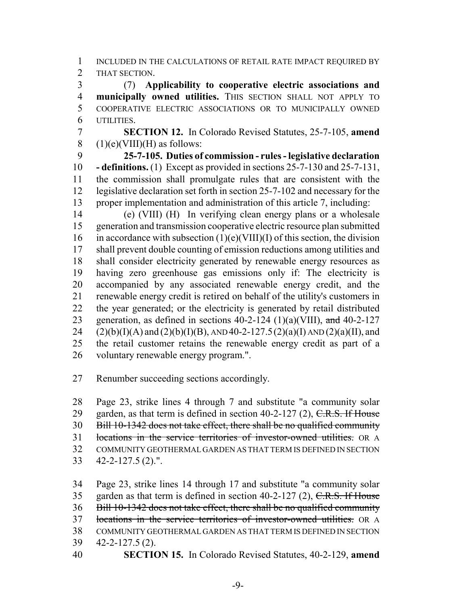INCLUDED IN THE CALCULATIONS OF RETAIL RATE IMPACT REQUIRED BY THAT SECTION.

 (7) **Applicability to cooperative electric associations and municipally owned utilities.** THIS SECTION SHALL NOT APPLY TO COOPERATIVE ELECTRIC ASSOCIATIONS OR TO MUNICIPALLY OWNED UTILITIES.

 **SECTION 12.** In Colorado Revised Statutes, 25-7-105, **amend** 8  $(1)(e)(VIII)(H)$  as follows:

 **25-7-105. Duties of commission - rules - legislative declaration - definitions.** (1) Except as provided in sections 25-7-130 and 25-7-131, the commission shall promulgate rules that are consistent with the legislative declaration set forth in section 25-7-102 and necessary for the proper implementation and administration of this article 7, including:

 (e) (VIII) (H) In verifying clean energy plans or a wholesale generation and transmission cooperative electric resource plan submitted 16 in accordance with subsection  $(1)(e)(VIII)(I)$  of this section, the division shall prevent double counting of emission reductions among utilities and shall consider electricity generated by renewable energy resources as having zero greenhouse gas emissions only if: The electricity is accompanied by any associated renewable energy credit, and the renewable energy credit is retired on behalf of the utility's customers in the year generated; or the electricity is generated by retail distributed 23 generation, as defined in sections  $40-2-124$  (1)(a)(VIII), and  $40-2-127$ 24 (2)(b)(I)(A) and (2)(b)(I)(B), AND 40-2-127.5(2)(a)(I) AND (2)(a)(II), and the retail customer retains the renewable energy credit as part of a voluntary renewable energy program.".

Renumber succeeding sections accordingly.

 Page 23, strike lines 4 through 7 and substitute "a community solar 29 garden, as that term is defined in section  $40-2-127$  (2), C.R.S. If House Bill 10-1342 does not take effect, there shall be no qualified community locations in the service territories of investor-owned utilities. OR A COMMUNITY GEOTHERMAL GARDEN AS THAT TERM IS DEFINED IN SECTION 42-2-127.5 (2).".

 Page 23, strike lines 14 through 17 and substitute "a community solar 35 garden as that term is defined in section  $40-2-127$  (2), C.R.S. If House Bill 10-1342 does not take effect, there shall be no qualified community locations in the service territories of investor-owned utilities. OR A COMMUNITY GEOTHERMAL GARDEN AS THAT TERM IS DEFINED IN SECTION 42-2-127.5 (2). **SECTION 15.** In Colorado Revised Statutes, 40-2-129, **amend**